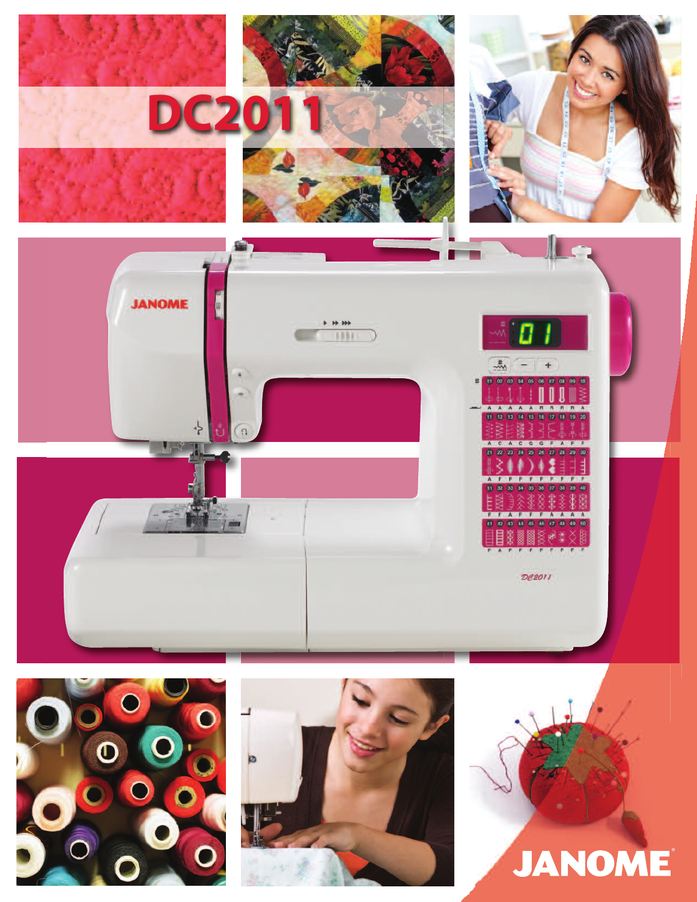